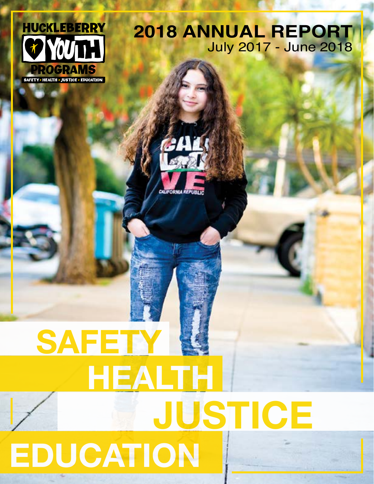

# **2018 ANNUAL REPORT**  July 2017 - June 2018



# **JUSTICE EDUCATION HEALTH SAFETY**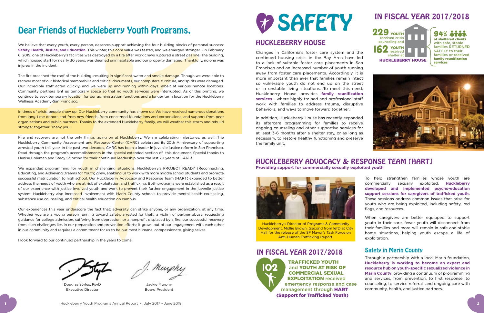To help strengthen families whose youth are commercially sexually exploited, **Huckleberry developed and implemented psycho-education support sessions for caregivers of trafficked youth.** These sessions address common issues that arise for youth who are being exploited, including safety, red flags, and resources.

When caregivers are better equipped to support youth in their care, fewer youth will disconnect from their families and more will remain in safe and stable home situations, helping youth escape a life of exploitation.

We believe that every youth, every person, deserves support achieving the four building blocks of personal success: **Safety, Health, Justice, and Education.** This winter, this core value was tested, and we emerged stronger. On February 6, 2019, one of Huckleberry's facilities was destroyed by a fire after work crews ruptured a street gas line. The building, which housed staff for nearly 30 years, was deemed uninhabitable and our property damaged. Thankfully, no one was injured in the incident.

# Dear Friends of Huckleberry Youth Programs,

The fire breached the roof of the building, resulting in significant water and smoke damage. Though we were able to recover most of our historical memorabilia and critical documents, our computers, furniture, and spirits were damaged. Our incredible staff acted quickly, and we were up and running within days, albeit at various remote locations. Community partners lent us temporary space so that no youth services were interrupted. As of this printing, we continue to seek temporary location for our administration functions and a longer term location for the Huckleberry Wellness Academy-San Francisco.

In times of crisis, people show up. Our Huckleberry community has shown up. We have received numerous donations from long-time donors and from new friends, from concerned foundations and corporations, and support from peer organizations and public partners. Thanks to the extended Huckleberry family, we will weather this storm and rebuild stronger together. Thank you.

Fire and recovery are not the only things going on at Huckleberry. We are celebrating milestones, as well! The Huckleberry Community Assessment and Resource Center (CARC) celebrated its 20th Anniversary of supporting arrested youth this year. In the past two decades, CARC has been a leader in juvenile justice reform in San Francisco. Read through the program's accomplishments in the special extended section of this document. Special thanks to Denise Coleman and Stacy Sciortino for their continued leadership over the last 20 years of CARC!

We expanded programming for youth in challenging situations. Huckleberry's PROJECT READY (Reconnecting, Educating, and Achieving Dreams for Youth) grew, enabling us to work with more middle school students and promote successful matriculation to high school. Our Huckleberry Advocacy and Response Team (HART) expanded to better address the needs of youth who are at risk of exploitation and trafficking. Both programs were established as a result of our experience with justice involved youth and work to prevent their further engagement in the juvenile justice system. Huckleberry also increased involvement with Marin County schools to provide mental health counseling, substance use counseling, and critical health education on campus.

Our experiences this year underscore the fact that: adversity can strike anyone, or any organization, at any time. Whether you are a young person running toward safety, arrested for theft, a victim of partner abuse, requesting guidance for college admission, suffering from depression, or a nonprofit displaced by a fire, our successful recovery from such challenges lies in our preparation and prevention efforts; it grows out of our engagement with each other in our community and requires a commitment for us to be our most humane, compassionate, giving selves.

I look forward to our continued partnership in the years to come!

# **ED SAFETY** HUCKLEBERRY HOUSE

Douglas Styles, PsyD Executive Director

Murphy

Jackie Murphy Board President

Changes in California's foster care system and the continued housing crisis in the Bay Area have led to a lack of suitable foster care placements in San Francisco and an increased number of youth running away from foster care placements. Accordingly, it is more important than ever that families remain intact so vulnerable youth do not end up on the street or in unstable living situations. To meet this need, Huckleberry House provides **family reunification services** - where highly trained and professional staff work with families to address trauma, disruptive behaviors, and ways to move forward together.

In addition, Huckleberry House has recently expanded its aftercare programming for families to receive ongoing counseling and other supportive services for at least 3-6 months after a shelter stay, or as long as necessary, to restore healthy functioning and preserve the family unit.

## HUCKLEBERRY ADVOCACY & RESPONSE TEAM (HART) **Providing support for commercially sexually exploited youth**

## Safety in Marin County

Through a partnership with a local Marin foundation, **Huckleberry is working to become an expert and resource hub on youth-specific sexualized violence in Marin County**, providing a continuum of programming and services, from prevention, to first response, to counseling, to service referral and ongoing care with community, health, and justice partners.





# IN FISCAL YEAR 2017/2018



Huckleberry's Director of Programs & Community Development, Mollie Brown, (second from left) at City Hall for the release of the SF Mayor's Task Force on Anti-Human Trafficking Report.



Huckleberry Youth Programs Annual Report • July 2017 - June 2018

## IN FISCAL YEAR 2017/2018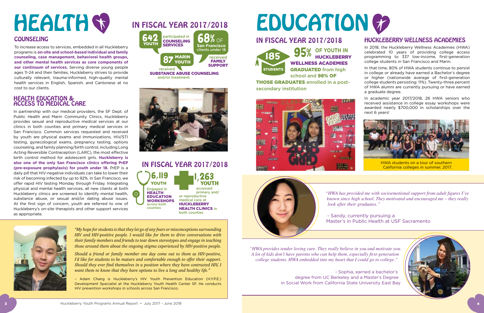## HUCKLEBERRY WELLNESS ACADEMIES

In 2018, the Huckleberry Wellness Academies (HWA) celebrated 10 years of providing college access programming to 337 low-income, first-generation college students in San Francisco and Marin.

In that time, 80% of HWA students continue to persist in college or already have earned a Bachelor's degree or higher (nationwide average of first-generation college students persisting: 11%). Twenty-three percent of HWA alumni are currently pursuing or have earned a graduate degree.

In academic year 2017/2018, 26 HWA seniors who received assistance in college essay workshops were awarded nearly \$700,000 in scholarships over the next 6 years!

## HEALTH EDUCATION & ACCESS TO MEDICAL CARE

In partnership with our medical providers, the SF Dept. of Public Health and Marin Community Clinics, Huckleberry provides sexual and reproductive medical services at our clinics in both counties and primary medical services in San Francisco. Common services requested and received by youth are physical exams and immunizations, HIV/STI testing, gynecological exams, pregnancy testing, options counseling, and family planning/birth control, including Long Acting Reversible Contraception (LARC), the most effective birth control method for adolescent girls. **Huckleberry is also one of the only San Francisco clinics offering PrEP (pre-exposure prophylaxis) for youth under 18.** PrEP is a daily pill that HIV-negative individuals can take to lower their risk of becoming infected by up to 92%. In San Francisco, we offer rapid HIV testing Monday through Friday. Integrating physical and mental health services, all new clients at both Huckleberry clinics are screened to identify mental health, substance abuse, or sexual and/or dating abuse issues. At the first sign of concern, youth are referred to one of Huckleberry's on-site therapists and other support services as appropriate.

Engaged in HEALTH EDUCATION **WORKSHOPS** across both counties 6,119 YOUTH



both counties

*"My hope for students is that they let go of any fears or misconceptions surrounding HIV and HIV-positive people. I would like for them to drive conversations with their family members and friends to tear down stereotypes and engage in teaching those around them about the ongoing stigma experienced by HIV-positive people.* 

*Should a friend or family member one day come out to them as HIV-positive, I'd like for students to be mature and comfortable enough to offer their support. Should they ever find themselves in a position where they have contracted HIV, I want them to know that they have options to live a long and healthy life."* 

– Adam Chang is Huckleberry's HIV Youth Prevention Education (H.Y.P.E.) Development Specialist at the Huckleberry Youth Health Center SF. He conducts HIV prevention workshops in schools across San Francisco.

# HEALTH ST IN FISCAL YEAR 2017/2018 EDUCATION GO

## COUNSELING

To increase access to services, embedded in all Huckleberry programs is **on-site and school-based individual and family counseling, case management, behavioral health groups, and other mental health services as core components of our continuum of services.** Serving diverse young people ages 11-24 and their families, Huckleberry strives to provide culturally relevant, trauma-informed, high-quality mental health services in English, Spanish, and Cantonese at no cost to our clients.

> *"HWA has provided me with socioemotional support from adult figures I've known since high school. They motivated and encouraged me – they really look after their graduates."*

- Sandy, currently pursuing a Master's in Public Health at USF Sacramento



*"HWA provides tender loving care. They really believe in you and motivate you. A lot of kids don't have parents who can help them, especially first-generation college students. HWA embedded into my heart that I could go to college."*

> - Sophia, earned a bachelor's degree from UC Berkeley and a Master's Degree in Social Work from California State University East Bay





## IN FISCAL YEAR 2017/2018

**OF YOUTH IN 95% DE TOUTH IN** WELLNESS ACADEMIES GRADUATED from high school and 98% OF

THOSE GRADUATES enrolled in a postsecondary institution







## IN FISCAL YEAR 2017/2018



California colleges in summer, 2017.

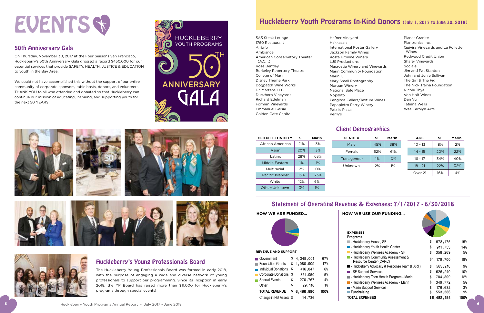## EVENTS S You are cordially invited to join us for our

## 50th Anniversary Gala

On Thursday, November 30, 2017 at the Four Seasons San Francisco, en mareaer, no remiser ou, 2007 at the road odderne can manufacture,<br>Huckleberry's 50th Anniversary Gala grossed a record \$450,000 for our essential services that provide SAFETY, HEALTH, JUSTICE & EDUCATION to youth in the Bay Area. ll services that provide SAFETY, HEALTH, JUSTICE & EDU **Leon Metz,**  ray monday D4JU,UU

We could not have accomplished this without the support of our entire community of corporate sponsors, table hosts, donors, and volunteers. THANK YOU to all who attended and donated so that Huckleberry can Tickets available at which attended at the density of the material Tickets and Supporting youth for the next 50 YEARS! rosts, ao

| 5A5 Steak Lounge                          |
|-------------------------------------------|
| 1760 Restaurant                           |
| Airbnb                                    |
| Ambiance                                  |
| American Conservatory Theater<br>(A.C.T.) |
| Rose Bentlev                              |
| Berkeley Repertory Theatre                |
| College of Marin                          |
| Disney Theme Park                         |
| Dogpatch Wine Works                       |
| Dr. Martens I I C                         |
| Duckhorn Vineyards                        |
| Richard Edelman                           |
| Forman Vineyards                          |
| Emmanuel Gaisie                           |
| Golden Gate Capital                       |

Hafner Vineyard Hakkasan International Poster Gallery Jackson Family Wines Kosta Browne Winery LJS Productions Marin IJ Mary Small Photography Morgan Winery National Safe Place Nopalito Papapietro Perry Winery Patxi's Pizza Perry's

- Macrostie Winery and Vineyards Marin Community Foundation
	-
- Pangloss Cellars/Texture Wines
- Planet Granite Plantronics Inc. Quivira Vineyards and La Follette Wines Redwood Credit Union Shafer Vineyards Sociale Jim and Pat Stanton John and Junie Sullivan The Girl & The Fig The Nick Traina Foundation Nicole Thye Von Holt Wines Dan Vu Tatiana Wells Wes Carolyn Arts



HYP\_2017\_GalaInvite\_FIN.indd 1 9/19/17 2:19 PM

## Huckleberry's Young Professionals Board

The Huckleberry Young Professionals Board was formed in early 2018, with the purpose of engaging a wide and diverse network of young professionals to support our programming. Since its inception in early 2018, the YP Board has raised more than \$11,000 for Huckleberry's programs through special events!



## Client Demographics

| SF    | <b>Marin</b> | GЕ   |
|-------|--------------|------|
| 21%   | 3%           |      |
| 20%   | 3%           | F    |
| 28%   | 63%          | Trar |
| $1\%$ | 1%           | Un   |
| 2%    | $O\%$        |      |
| 13%   | 23%          |      |
| 12%   | 6%           |      |
| 3%    | 1%           |      |
|       |              |      |

Statement of Operating Revenue & Expenses: 7/1/2017 - 6/30/2018





| <b>EXPENSES</b>                                                         |                |                |
|-------------------------------------------------------------------------|----------------|----------------|
| Programs                                                                |                |                |
| - Huckleberry House, SF                                                 | \$<br>978, 175 | 15%            |
| - Huckleberry Youth Health Center                                       | \$<br>911,753  | 14%            |
| - Huckleberry Wellness Academy - SF                                     | \$<br>358,269  | 5%             |
| <b>E</b> - Huckleberry Community Assessment &<br>Resource Center (CARC) | \$1,179,700    | 18%            |
| - Huckleberry Advocacy & Response Team (HART)                           | \$<br>563,218  | 9 <sup>°</sup> |
| <b>B</b> - SF Support Services                                          | \$<br>626,240  | 10%            |
| - Huckleberry Teen Health Program - Marin                               | \$<br>784,809  | 12%            |
| - Huckleberry Wellness Academy - Marin                                  | \$<br>349,772  | 5%             |
| - Marin Support Services                                                | \$<br>176,632  | 3 <sup>°</sup> |
| ■ Fundraising                                                           | \$<br>553,586  | 9 <sup>°</sup> |
| TOTAL EXPENSES                                                          | \$6,482,154    | 100%           |
|                                                                         |                |                |



|   | <b>Marin</b> | <b>GENDER</b> | <b>SF</b> | <b>Marin</b> | <b>AGE</b> | <b>SF</b> | <b>Marin</b> |
|---|--------------|---------------|-----------|--------------|------------|-----------|--------------|
| 6 | 3%           | Male          | 45%       | 38%          | $10 - 13$  | 8%        | 2%           |
| ℅ | 3%           | Female        | 52%       | 61%          | $14 - 15$  | 20%       | 22%          |
| % | 63%          | Transgender   | 1%        | 0%           | $16 - 17$  | 34%       | 40%          |
|   | 1%           | Unknown       | 2%        | 1%           | $18 - 21$  | 22%       | 32%          |
|   | 0%           |               |           |              |            |           |              |
| 6 | 23%          |               |           |              | Over 21    | 16%       | 4%           |
| h | 6%           |               |           |              |            |           |              |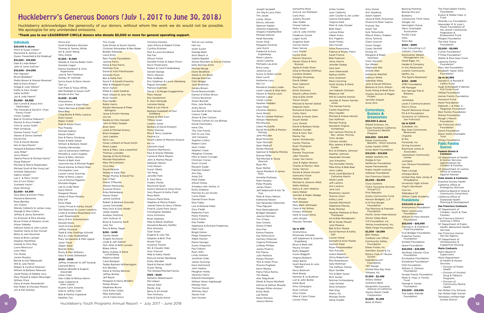## Huckleberry's Generous Donors (July 1, 2017 to June 30, 2018)

Huckleberry acknowledges the generosity of our donors, without whom the work we do would not be possible. We apologize for any unintended omissions.

## Individuals

**\$20,000 & above** Mitch & Susan Cohen\* Raymond & Joanne Lin\* Dyann Tresenfeld & Ed Waldrup\*

**\$15,000 - \$19,999** Dale & Linda Baker\* John & Junie Sullivan\* **\$10,000 - \$14,999** Dan Aguayo\* Bruce Bodaken<sup>\*</sup> Mollie Brown & Warren Browner\* Bob & Dana Emery\* Gregg & Judy Gibson\* Kathy & Gary Grady\* Sallie Griffith\* Jay & Judy Hearst **\$5,000 - \$9,999** Dan Carroll & Stasia Ann **Obremskey** Family Fund\*

> Ruth Cowan Robin Critelli Matt & Alison Dunn Paul Feasby Michael Gabrys Nicole Gallant Don & Marcy Ginsburg Karen & Nate Goore William & Barbara Hazen Charles Hernandez Jack & Genevieve Hoffman Michelle & Justin Hughes Kevin & Nikki Johnson Martin & Beth Katz Jeannine Kay & Michael Rugen David Kremer & Marla Miller Christopher Lane Lauren Loney Gunning Peter & Maria Lukens Lou & Norma Magallon Michelle Magee Lee & Linda Meier Doris Merrill Margaret Moore Aileen & Ryan Murphy

The Amanda & David K. Chao Victor Cordon Bob & Christine Feibusch\* Morton & Amy Friedkin Chris & Jaclyn Gallo\* Matt Ginsburg Gomez Family Trust\* Steven & Donna Gothelf David Kirp Fran & David Meckler Ken & Vera Meislin\* Howard & Barbara Miller\* Jane Miller\* Jerry Peters\* Valerie Pierce & Michael Stortz\* Doug Robson\* Michael & Marcia Rubenstein Michael Scott & Mei-Yung Lee\* Annette Sebastiani Sabina Shaikh\* Lee C. & Perry Smith\* Ken & Lori Styles\* Susheela Vasan\* Mark Whiting\* **\$2,000 - \$4,999** Tony Baca & Dimitri Fillos Marianne Bamonte Rose Bentley Jim Chanin Wendy Coblentz & James Lowy George & Teta Collins Jeffrey & Jenny Demartini Oz Erickson & Rina Alcalay Bruce Fisher & Marlene Litvak Alison Geballe Adriana Gores & John Lamm Heather Hanly & Dan Purcell Betsy & Joel Hausman Diana & Brian Lempe Stephen MacMillan Celeste & Chris May Laura Menicucci Leon Metz Tim Muller Jackie Murphy Bernie & Gail Nebenzahl Will & Julie Parish Robert & Cynthia Peterson William & Barbara Peterson Jared Polsky & Debbie Levy Mary Powell & Adam Messinger William Price Harry & Karen Rosenbluth Don Rubin & Olympia Martyn

Jim & Pat Stanton

Olivia Sun

Scott & Barbara Waxman Thomas & Tammy White Art & Janet Wong Tony Zanze **\$1,500 - \$1,999**

Woody & Connie Baker-Cohn

Danielle Cagan Donna Dambach & Chris Argenziano Julie & Tom Feldstein Shelley W. Gottlieb Sylvia Kwan & Denis Henmi

> Thomas Lumsden George & Myrta Matula Michael Mazzaferro Mary McCutcheon Cliva Mee David Melnick Wakey & Katie Mist Margo Murray & David Fox

Tam Le

Dan O'Neil Shane O'Rourke Sharon Petrowsky Susanne Rivera Erika Rottenberg Marian Rubin Jaimie Sanford Robert & Barbara Scavullo Louise Schneider Mary-Ann & Dick Shafer Joelle Steefel Andrew Stoltzfus John Sullivan III Brian & Suzanne Swift

Carl Paoli & Tonya White Neil Rudolph & Susan Cluff Brooke & Eric Tao **\$1,000 - \$1,499** Anonymous

Lucy Almers & Sean Rhea Teena Berman & Owen Hart

> Julie Tan Paul & Betsy Zeger **\$250 - \$499** Cecilia Abate Angela Acchione Linda & Jeff Aldrich Tom Allen & Beth Levison

Nora Blay

Craig Burke & Molly Lazarus

Ellie Off Dana Pepp

Carlos Privat & Ashley Gould Will Robinson & Lauren Uyeshiro Linda & Andrew Rosenberg Ach

Leah Rosenkrantz Kerry & Eric Schwartzman Donald Share Scott & Dina Smith Jeffrey Sosnaud

Todd & Alex Stallings-Schmitt Rick & Linda Stubblefield Mary Szczepanik & Matt Agard

Janet Traub Albert Wald Brenda Wiley Rusty & Mari Williams Gary & Linda Zellerbach **\$500 - \$999**

Jeffrey Anderson & Jeff Soukup

Leonard Berry Barbara Blasdel & Eugene

Alexander Lillian Chen

Alex Cobb & Melissa Norris Andy Coblentz & Shari Libicki Kiyomi Cohn Ameriks Kate & Jeffrey Colin Bob & Martha Copeland Heather Cox

Tim Crudo

Kate Ditzler & Stuart Gasner Christian Edvardsen & Ben Baker

Braden Edwards Laura Enos Rein Family Foundation Joanne Ferris Marie & Paul Ferris Matthew Fine David & Vicki Fleishhacker Amanda Forst Ben & Katie Fort Paula P. & Gareth Fracchia Mike & Margaret Fuson Kevin Galvin Philip & Leslie Gardner Mark Gibson & Jane Yao Brian Gooch Paul Harder Robin Harris Nicolle Henneuse & Peter **Billington** Jesse & Kristin Herzog

Lily Ho

Deidre & Chris Hockett John & Molly Hooper Brian Kent

Leslie & Michael Krasny **Brian Kuepper** Jack Lapidos Kenn Lau

Mario Lopez

Blake Atkins Betsy Aubrey & Steve Lichtenberg Rebecca Baier Carol Banquer

Kim Bentley Steve & Shirley Berman Jeffrey Bosley Jeff Boyle

Margaret & Henry Brodkin Parker Brown Stephane Bruno Clint & Pen Callan Mike Dalrymple Jim & Claire Davis

Christine DeVoto Joan Difuria & Robert Fisher Cynthia Eckstein



Jean Coblentz Jami Coulter & Jon Lotter Leanna DeAngelis Virginia Dold Mark & Jody Dosker Beth Eberl Larissa Estes Albert Evers Eric Fagerlin Sarah Farley Abu Farukh Anne Florenzano Fabrice & Phyllis Florin Sarah France Bob Freeman Jesus Garcia Jennifer Godoy Sara Gorr Joan Greenwald Nathan Griffin Amy Groetsch Nanci Gunning Scott Gursky & Steve Fisher Jan Habarth Schmelz Rebecca Hall Will & Caroline Harries Jennifer & Trevor Harries-Jones The Harrop Family Carole Hayashino Mary Hayden Michael & Arlene Herrick Dan Hoffman Michael Huang Donald & Virginia Humphreys Gail Jackson McCray & Rev. James. McCray Vicki Jacobs Camara Jacobs Rita Jeremy & Barry Gurdin Eric & Kimberly Johnson Heather Johnson Alexander Kinneer Joni Kinoshita The Kirchofer Family Mike Kitay & Bob Baer Jerry Labay Anne Laird-Blanton & Catharine Martin Alene Lamb Jeff Lashins Ann Lazarus Jane Levi Rosemary Leyson Tawnia Litwin Kathy Lund Zoenda MacIntosh Stephanie Mactas Rudy Marinez Heather Mathews & Rory Thompson Ink & Bob Mendelsohn Bill & Sandy Mixsell Julie Mozena Bibi & Eric Moore David Norman & Kathy Dell Lauren Osher Kenneth & Kristi Parker Aashish Patel Rajas Pimpalwadkar Tom Putnam Aaron Roberts Olivia Robertson Rita Rosenbaum Sally Rothman The Saffouri Family Ryan Sandler Tim & Beth Sasan Rich Sauter Norman Schlossberg Judy Schwer Ilene Schwerin Niel Shay Sherry Sly Michael Smith Steve Snyde

### Corporations, Business & **Organizations**

**\$500 - \$999** Ciao Consulting LLC Catholic Charities Destination Wealth Management, Inc. Good Eggs, Inc. Harder & Company In Situ Restaurant Loretto Community Netflix, Inc. The Sports Basement **\$250 - \$499** AT&T Foundation HR Manager Iron Springs Pub & Brewery Itron Jackalope Level 3 Communications Patxi's Pizza Payroll Resource Group PG & E Foundation

Tom & Lois Ashley Hon Au Scott Austin George Baier Alvin Baum Jr. Sophie Bigalke Steven Blumlein & Arlyne Charlip Kelly Bonney-Ache Michael Borge Diane Bradford Sheila & Jim Brear George Brennan Colin Briggs Josh Briskman Sandra Brown David Brownschidle Damon & Gillian Bruce Christy Buckman Alison Bunnell Mary Jane Burke Avery Burns Sue Burrell & Don Kerson Cassius Cade Alison & Don Carlson Thomas Carlson & Lisa Bishop David Chesnosky Irene Cho The Choi Family Don & Lisa Clay Jeff Clements Stephen Collins Robert Corsi Sean Cotter Stephen Coyle Meaghan Crowley Marc & Quita Cruciger Christian Crynes Gavin Crynes Ronjohn Dadd Fletcher Dallam Ann Dey Andy Dill Mark Dober Allison Dorey Amadeus dos Santos Jr. Emily Dreblow Marriner & Leni Eccles Curtis Elijah Glenda Evans-Shaw Nick Faber Lois & Rolland Feller **Gary Fiede** Robertta Fisch Mario Flaherty Sonia Flores Dan Foldes Stephanie & Richard Fredericks Mike Funk Brigid Gahan Paige Gasparino Adela Gaytan Pierre George Susan Giaquinto Paul Gibson Ryan Gillis Lindy Graham Jonathan Greb James Gunning Kara Hammond John Haptas Meaghan Hardy Veronica Harris Edward Hesselgren William Nolan Highbaugh Melody Hom Thomas House Whitney Hoyt Steven Hull Sam Hurster

Joseph Iacopelli Jim Illig & Larry Dotz Tim Jacob Locke Jillson Donny Johnson Spencer Kaplan Veronica Kaplisnky Gregory KarpNeufeld Michael Keena Heidi Kennedy Susan King Margaret Kirchner Jack Kuntz Frederick & Aura Kuperberg Mario Laherty Jackie Lalanne Michaela LaLanne Erica Lang Johanna Lee Sunny & Akiba Lerner Dean Levitt Katherine Levy Ken Lin Ronald & Sandra Linder Leslie Lopato & Skip Getz Steven & Maurie Louis Hannah Lubar Carter Lyman Heather Madden Saira Malik Christian Martino Anna Masini Tom & Carolee Mathers William Mattimore Phil Mauritz Claire McAuliffe David McAuliffe & Marilyn Herzog Jane McCabe Brad McGinnis Tyler McGrath Sean Medcalf Nicole Mestice Spencer & Roberta Michels Dionne Miller Ted Mitchell & Tanya Slesnick Ryan Mix Ryan Moffat Joyce Mordenti & James Pohl Annette Mullaney Mark Murphy Peter Murphy James Myers Jeff Nebenzahl & Hoi Tai Tran Mark & Stacy Nelson Katherine Nestor Gail Neverdon Edmonds Thao Nguyen Paul Niewiadomski Bridget Nikodem Joanne Norman Tim O'Hara Alan Omoto Shane O'Neill Gina Pan Emma Pastore Kay Pellicciarin Zachary Peterson Virginia Philhower Lindsey Phillips James Picerno Phil Pierce Julia Poelstra Kelsey Poulsen Tom & Gwen Price Shauna Pugliese Kevin Raesly Maria Felisa Ramiu Tim Reedy Alec Regulinski Derek & Stasia Reisfield Katrina & Nathan Rhoads Morgan Ritter-Armour Emily Rollo Lee Rome Moira Romero Jessica Romm

Samantha Rose Anna & Jon Rothbar Carly Ruiz Jeremy Russel Alex Sadler Chanel Salinas Molly Sauer Lary & Judy Schiller Frederick Schott Logan Scott Angeline Seah Connor Sentz Dean Serure Lucy Shafer Kavita Shah Patrick Shannon Steven Shatz & Nina Rivkind Aglae & Andy Shaw Alice & Michael Shiffman Caroline Sholem Douglas Shumway David Sibbet Sean Signorini Paul Silvis Emily Simmons Wayne LaRue Smith Skip & Ellie Smith Trevor Smyth Mitchell & Harriet Sollod Deberah Stark Richard & Diane Stein Cathy Stern Stanley & Karen Stern Stuart Stoller Lucy Strand David & Barbara Styles Madhavi Sunder Eliza & Gary Tam Marina Tao Aaron Tartakovsky Cecilia Thomas Ryan Thompson Bailey Tills Pamela Touschner Jake Tripucka Casey Van Horne Jose & Aglae Velasco Charles & Marilyn Vella Corey Vernon Nicole & Shane Vincent Giancarlo Vissat Matthew Wahl Michael & Johanna Wald Wells Wallace Nancy & John Watkins Gene Webe Jennifer & Ralph Wedge Tim Whalen Matt Wheeler Mary Beth Whittake Carol & Hal Wilner Kimery Wiltshire Hank & Susan Wirta John Wright Mayuko Yamada **Up to \$99** Anonymous Emanuela Almeida Jeff Appleman & Suzanne Engelberg Brian & Barb Apt Mauna Arnzen Buffy Baggott

Susan Baggott Virginia Baldwin Haley Baron Scott Barshack & Lana Nguyen Kerry Bostrum Mark Brody Norman & Jo Budman Lori & John Butler Katie Byrd Gina Campagna Ryan Carlson Amy Chase Mike & Carol Chase Louise Chien

Anike Coates

Amy Somer Ann Spalding Adam Speert Jesse & Mark Strassman Shawna & Peter Supino Frances Tao Karen Tao Kyle Tatsumoto Mike & Sherry Triebert Ginny Tominia Claire Ucovich Susan Vargas Casey Versfelt Dzung Vo Margaret & Ralph Voorhees Clare Voyance Ilya Weber Stephanie Wei Amelie Wen Katherine Westfall Kathryn White Gabrielle Wiley Jane & David Williams Barbara & Chris Wilson Susie Wong & Brad Shao Charles Wyman & Megan Pickett Jennifer Zalayet Anne Zinn

### **\$50,000 & above** Gilead Sciences, Inc. Kaiser Northern California Community Benefit

Program **\$20,000 - \$49,999** Kaiser Community Benefits - Marin Sonoma Sutter Health CPMC Union Bank Foundation

**\$10,000 - \$19,999** Adobe Systems Inc. Dodge & Cox Heffernan Foundation Kaiser Permanente Public Health Institute Safeway Foundation San Francisco Giants

**\$5,000 - \$9,999** Cisco Systems CSAA Insurance Services Group/LLC First Republic Giants Community Fund Hanson Bridgett, LLP In-N-Out Burger Foundation The Morrison & Foerster Foundation Pacific Union International Silicon Valley Bank TJX Foundation, Inc. Veritas Investments, Inc. Wells Fargo Foundation

**\$2,500 - \$4,999** BNY Mellon Cardoza Law Office Community Safety Foundation Eileen Fisher, Inc. Hamilton Zanze & Co. Rotary Club of Tiburon Sunset Salesforce.com Foundation TEF Design United Way Bay Area VMware, Inc. **\$1,500 - \$2,499** Allianz Global Comerica Bank

Nonprofits Insurance Alliance of California Toyota Motor Credit Corporation

**\$1,000 - \$1,499** Bank of Marin

Bassing Painting Bishop McCann Burberry Community Thrift Store Google, Inc. Harrington Group Marin Charitable Association Nvidia Corp. Okta Tonic Bar

University of California, San Francisco **Up to \$249** Autodesk, Inc. Bay Area Community Resources Chipotle El Rio Forwords, Inc. Giving Assistant Raymond James & Associates Jamestown Community **Center** Juxtapoz Levi Strauss-Foundation Minted Tope Lounge Umpqua Bank United Way New Jersey & Philadelph University High School Virgil's Sea Room Visa Inc. Walkabout SF Willow Creek Academy Foundations

**\$100,000 & above** Anonymous Foundation Marin Community **Foundation** William & Flora Hewlett **Foundatio \$50,000 - \$99,999**

Frances K. & Charles D. Field Foundation Five Bridges Foundation Fullerton Family Foundation Kimball Foundation Quest Foundation

### **\$20,000 - \$49,999** Winifred Johnson Clive Foundation Eucalyptus Foundation Excelerate Foundation<sup>\*</sup> GGS Foundation William G. Gilmore Foundation Gruber Family Foundation Peter E. Haas Jr. Family Fund

George H. Sandy Foundation

**\$10,000 - \$19,999** The Isabel Allende Foundation

The Fred Gellert Family Foundation Evelyn & Walter Haas Jr. Fund Miranda Lux Foundation Alexander M. & June L. Maisin Foundation of the Jewish Community Federation & Endowment Fund Milagro Foundation The Nick Traina Foundation **\$5,000 - \$9,999** Curran Foundation\* FThree Foundation\* Walter & Elise Haas Fund Leestma Family Foundation\* Mary See Foundation Elizabeth Taylor AIDS **Foundation Up to \$4,999** Donald O. & Ronald R. Collins Fund Hugh & Elizabeth Fullerton Full Circle Fund **Hilltop Foundation** Horner Family Foundation Humanist Fund Koret Foundation Deborah J. & Peter A. **Magowan Foundation** Rein Family Foundation Rotasa Foundation Rough-J-Ranch Foundation San Francisco AIDS Foundation Sence Foundation Elinor Smith Charitable Trust **Wilsey Foundation** Public Funding Sources **Federal Grants & Contracts** US Department of Health & Human Services Administation for Children & Families US Department of Justice, **Office of Violence** Against Women **State Grants & Contracts** Essential Access Health California Office of Emergency Services California Board of State & Community Corrections California Office of Statewide Health Planning & Development **San Francisco Contracts** SF Department of Children, Youth & Their Families San Francisco District Attorney's Office SF Department of Public Health, Behavioral Health Services San Francisco Human Service Agency SF Department of Homelessness & Supportive Housing **Marin Contracts** Marin Board of **Supervisors** Marin Department of Health & Human Services: • Division of Public Health • Division of Alcohol, Drug & Tobacco Programs • Division of Community Mental Health San Rafael City Schools San Rafael High School

Tamalpais Unified High School District

## **\*Thank you to our LEADERSHIP CIRCLE donors who donate \$5,000 or more for general operating support.**